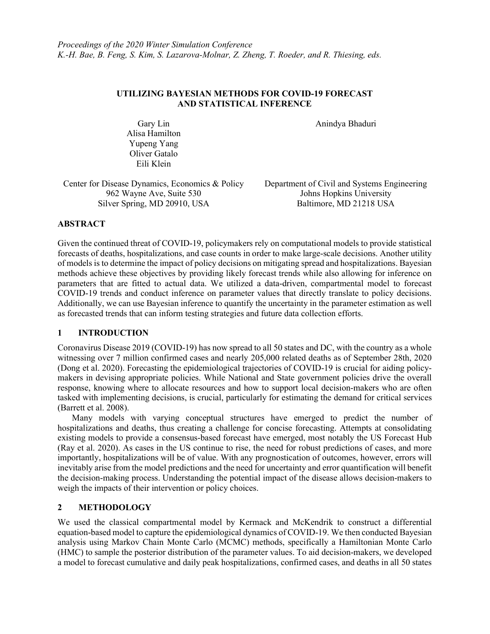# UTILIZING BAYESIAN METHODS FOR COVID-19 FORECAST AND STATISTICAL INFERENCE

Anindya Bhaduri

Gary Lin Alisa Hamilton Yupeng Yang Oliver Gatalo Eili Klein

Center for Disease Dynamics, Economics & Policy 962 Wayne Ave, Suite 530 Silver Spring, MD 20910, USA

Department of Civil and Systems Engineering Johns Hopkins University Baltimore, MD 21218 USA

# ABSTRACT

Given the continued threat of COVID-19, policymakers rely on computational models to provide statistical forecasts of deaths, hospitalizations, and case counts in order to make large-scale decisions. Another utility of models is to determine the impact of policy decisions on mitigating spread and hospitalizations. Bayesian methods achieve these objectives by providing likely forecast trends while also allowing for inference on parameters that are fitted to actual data. We utilized a data-driven, compartmental model to forecast COVID-19 trends and conduct inference on parameter values that directly translate to policy decisions. Additionally, we can use Bayesian inference to quantify the uncertainty in the parameter estimation as well as forecasted trends that can inform testing strategies and future data collection efforts.

# 1 INTRODUCTION

Coronavirus Disease 2019 (COVID-19) has now spread to all 50 states and DC, with the country as a whole witnessing over 7 million confirmed cases and nearly 205,000 related deaths as of September 28th, 2020 (Dong et al. 2020). Forecasting the epidemiological trajectories of COVID-19 is crucial for aiding policymakers in devising appropriate policies. While National and State government policies drive the overall response, knowing where to allocate resources and how to support local decision-makers who are often tasked with implementing decisions, is crucial, particularly for estimating the demand for critical services (Barrett et al. 2008).

 Many models with varying conceptual structures have emerged to predict the number of hospitalizations and deaths, thus creating a challenge for concise forecasting. Attempts at consolidating existing models to provide a consensus-based forecast have emerged, most notably the US Forecast Hub (Ray et al. 2020). As cases in the US continue to rise, the need for robust predictions of cases, and more importantly, hospitalizations will be of value. With any prognostication of outcomes, however, errors will inevitably arise from the model predictions and the need for uncertainty and error quantification will benefit the decision-making process. Understanding the potential impact of the disease allows decision-makers to weigh the impacts of their intervention or policy choices.

### 2 METHODOLOGY

We used the classical compartmental model by Kermack and McKendrik to construct a differential equation-based model to capture the epidemiological dynamics of COVID-19. We then conducted Bayesian analysis using Markov Chain Monte Carlo (MCMC) methods, specifically a Hamiltonian Monte Carlo (HMC) to sample the posterior distribution of the parameter values. To aid decision-makers, we developed a model to forecast cumulative and daily peak hospitalizations, confirmed cases, and deaths in all 50 states